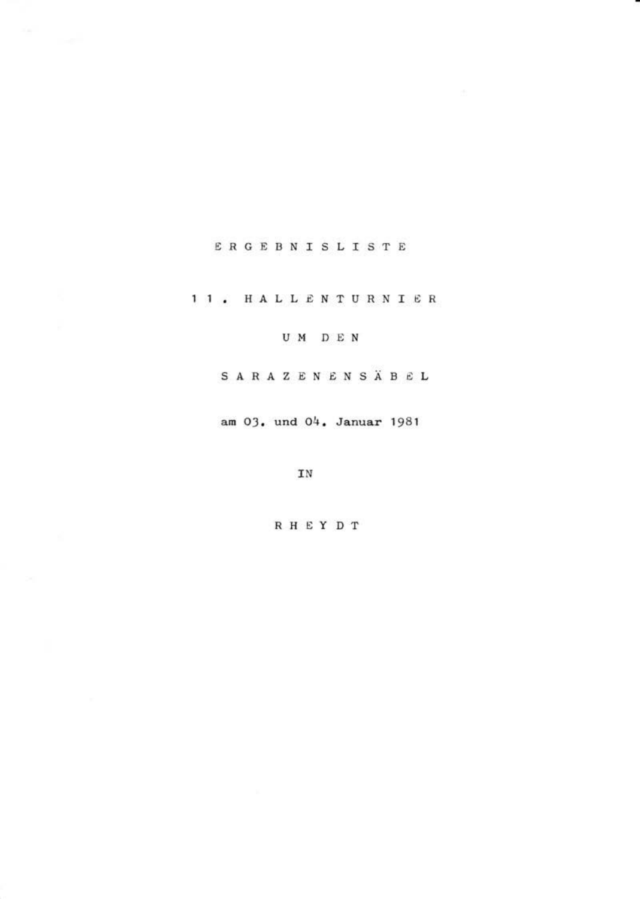# ERGEBNISLISTE

11. HALLENTURNIER

UM DEN

SARAZENENSÄBEL

am 03. und 04. Januar 1981

IN

**RHEYDT**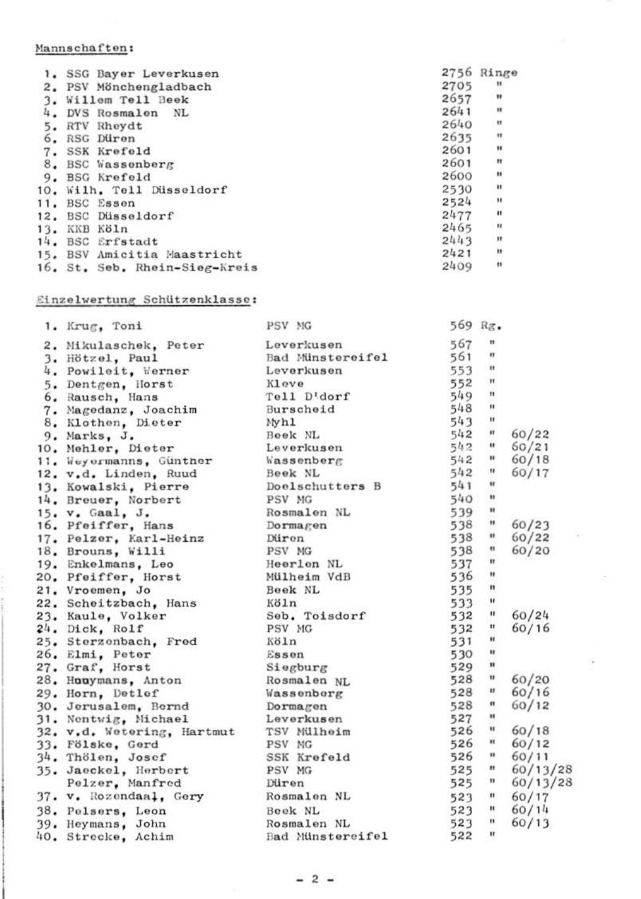## Mannschaften:

|     | SSG Bayer Leverkusen          | 2756 | Ringe          |
|-----|-------------------------------|------|----------------|
| 2.  | PSV Mönchengladbach           | 2705 | $\mathbf{u}$   |
|     | Willem Tell Beek              | 2657 | Ħ              |
| 4.  | DVS<br>Rosmalen<br>NL         | 2641 | ×              |
| 5.  | RTV<br>Rheydt                 | 2640 | ×              |
| 6.  | Diiron<br><b>RSG</b>          | 2635 | Ħ              |
| 7.  | SSK Krefeld                   | 2601 | Ħ              |
| 8.  | <b>BSC</b> Wassenberg         | 2601 | Ħ              |
| 9.  | <b>BSG</b> Krefeld            | 2600 | ×              |
| 10. | Wilh, Tell Düsseldorf         | 2530 | $\mathbf{H}$   |
| 11. | BSC Essen                     | 2524 | $\mathbf{u}$   |
| 12. | BSC Düsseldorf                | 2477 | $\blacksquare$ |
| 13. | Köln<br>KKB                   | 2465 | $\mathbf{H}$   |
| 14. | <b>BSC</b> Erfstadt           | 2443 | $\mathbf{r}$   |
| 15. | BSV Amicitia Maastricht       | 2421 | ×              |
|     | 16. St. Seb. Rhein-Sieg-Kreis | 2409 | $\mathbf{r}$   |

#### Einzelwertung Schützenklasse:

| 1. Krug, Toni              | PSV MG            | 569 Rg.   |                          |          |
|----------------------------|-------------------|-----------|--------------------------|----------|
| 2. Mikulaschek, Peter      | Leverkusen        | 567       | ×                        |          |
| 3. Hötzel, Paul            | Bad Minstereifel  | 561       | $\mathbf{u}$             |          |
| 4. Powileit, Werner        | Leverkusen        | 553       | $\mathbf{u}$             |          |
| 5. Dentgen, Horst          | Kleve             | 552       | $\mathbf{u}$             |          |
| 6. Rausch, Hans            | Tell D'dorf       | 549       | $^{11}$                  |          |
| 7. Magedanz, Joachim       | Burscheid         | 548       | $\mathbf{u}$             |          |
| 8. Klothen, Dieter         | Myhl              | 543       | ×                        |          |
| 9. Marks. J.               | Beek NL           | 542       | $\blacksquare$           | 60/22    |
| 10. Mehler, Dieter         | Leverkusen        | 542 "     |                          | 60/21    |
| 11. Weyermanns, Günther    | <b>Wassenberg</b> | 542       | $\overline{\phantom{a}}$ | 60/18    |
| 12. v.d. Linden, Ruud      | Beek NL           | 542       | $\bullet$                | 60/17    |
| 13. Kowalski, Pierre       | Doelschutters B   | 541       | $\mathbf{u}$             |          |
| 14. Breuer, Norbert        | PSV MG            | 540       | $\mathbf{u}$             |          |
| 15. v. Gaal, J.            | Rosmalen NL       | 539       | $\mathbf{H}$             |          |
| 16. Pfeiffer, Hans         | Dormagen          | 538 "     |                          | 60/23    |
| 17. Pelzer, Karl-Heinz     | Düron             | 538 "     |                          | 60/22    |
| 18. Brouns, Willi          | PSV MG            | 538       | $\,^{\rm H}$             | 60/20    |
| 19. Enkelmans, Leo         | Heerlen NL        | 537       | $\pmb{\mathfrak{m}}$     |          |
| 20. Pfeiffer, Horst        | Mülheim VdB       | 536       | $\mathbf{u}$             |          |
| 21. Vroemen, Jo            | Beek NL           | 535       | $\mathbf{u}$             |          |
| 22. Scheitzbach, Hans      | Köln              | 533       | $\mathbf{u}$             |          |
| 23. Kaule, Volker          | Seb. Toisdorf     | 532       | $\mathbf{u}$             | 60/24    |
| 24. Dick, Rolf             | PSV MG            | 532       | $\blacksquare$           | 60/16    |
| 25. Sterzenbach, Fred      | Köln              | 531       | $\mathbf{u}$             |          |
| 26. Elmi, Peter            | Essen             | 530       | $\mathbf{u}$             |          |
| 27. Graf, Horst            | Siegburg          | 529       | $\blacksquare$           |          |
| 28. Hooymans, Anton        | Rosmalen NL       | 528       | $\mathbf{u}$             | 60/20    |
| 29. Horn, Detlef           | Wassenberg        | 528       | $\mathbf{H}$             | 60/16    |
| 30. Jerusalem. Bernd       | Dormagon          | 528       | $\mathbf{H}$             | 60/12    |
| 31. Nontwig, Michael       | Leverkusen        | 527       | $\blacksquare$           |          |
| 32. v.d. Wetering, Hartmut | TSV Mülheim       | 526       | $\pmb{\mathsf{H}}$       | 60/18    |
| 33. Fölske, Gerd           | PSV MG            | 526       | $\overline{u}$           | 60/12    |
| 34. Thölen, Josef          | SSK Krefeld       | $526$ "   |                          | 60/11    |
| 35. Jaeckel, Herbert       | PSV MG            | 525       | $\bullet$                | 60/13/28 |
| Pelzer, Manfred            | Düren             | 525       | $\blacksquare$           | 60/13/28 |
| 37. v. Rozendaal, Gery     | Rosmalen NL       | $523 - n$ |                          | 60/17    |
| 38. Pelsers, Leon          | Book NL           | $523$ "   |                          | 60/14    |
| 39. Heymans, John          | Rosmalen NL       | 523       | $\mathbf{u}$             | 60/13    |
| 40. Strecke, Achim         | Bad Minstereifel  | 522       | $\mathbf{H}$             |          |
|                            |                   |           |                          |          |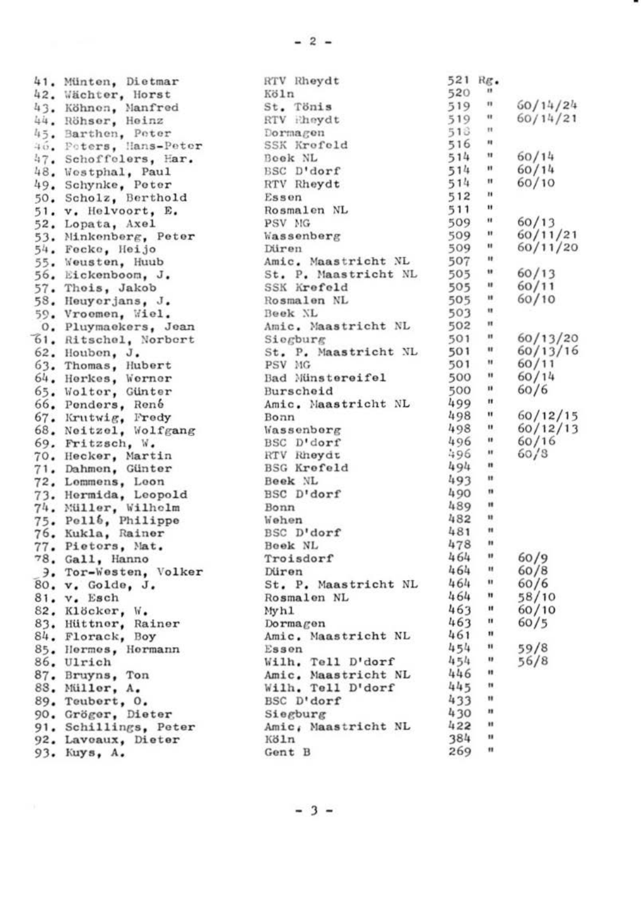41. Münten, Dietmar 42. Wächter, Horst 43. Köhnen, Manfred 44. Röhser, Heinz 45. Barthen, Poter 40. Poters, Hans-Peter 47. Schoffelers, Har. 48. Westphal, Paul 49. Schynke, Peter 50. Scholz, Berthold 51. v. Helvoort, E. 52. Lopata, Axel 53. Minkenberg, Peter 54. Fecke, Heijo 55. Weusten, Huub 56. Eickenboom, J. 57. Theis, Jakob<br>58. Heuyerjans, J. 59. Vroomen, Wiel. 0. Pluymackers, Jean 61. Ritschel, Norbert 62. Houben, J. 63. Thomas, Hubert 64. Herkes, Werner 65. Wolter, Günter 66. Penders, René 67. Krutwig, Fredy 68. Neitzel, Wolfgang 69. Fritzsch, W. 70. Hecker, Martin 71. Dahmen, Günter 72. Lommens, Loon 73. Hermida, Leopold 74. Müller, Wilhelm 75. Pell6, Philippe<br>76. Kukla, Rainer 77. Pietors, Mat. 78. Gall, Hanno 9. Tor-Westen, Volker 80. v. Golde, J. 81. v. Esch 82. Klöcker, W. 83. Hüttner, Rainer 84. Florack, Boy 85. Hermes, Hermann 86. Ulrich 87. Bruyns, Ton 88. Müller, A. 89. Toubert, O. 90. Gröger, Dieter 91. Schillings, Peter 92. Lavoaux, Dieter 93. Kuys, A.

| <b>RTV Rheydt</b>       | 521        | Rg.            |          |
|-------------------------|------------|----------------|----------|
| Köln                    | 520        | $\mathbf{r}$   |          |
| St.<br>Tönis            | 519        | $\blacksquare$ | 60/14/24 |
| RTV Ehevdt              | 519        | $\bullet$      | 60/14/21 |
| Dormagen                | 518        | $\mathbf{H}$   |          |
| SSK Krofeld             | 516        | $\mathbf{H}$   |          |
| Book NL                 | 514        | $\mathbf{H}$   | 60/14    |
| BSC<br>$D'$ dorf        | 514        | $\mathbf{H}$   | 60/14    |
| RTV Rheydt              | 514        | $\mathbf{H}$   | 60/10    |
| Essen                   | 512        | n              |          |
| Rosmalen NL             | 511        | $\mathbf{u}$   |          |
| PSV NG                  | 509        | $\blacksquare$ | 60/13    |
| wassenberg              | 509        | $\mathbf{H}$   | 60/11/21 |
| Diren                   | 509        | $\bullet$      | 60/11/20 |
| Amic, Maastricht NL     | 507        | ×              |          |
| St. P. Maastricht NL    | 505        | $\bullet$      | 60/13    |
| SSK Krefeld             | 505        | u              | 60/11    |
| Rosmalen NL             | 505        | u              | 60/10    |
| Beek NL                 | 503        | $\mathbf{u}$   |          |
| Amic. Maastricht NL     | 502        | $\mathbf{H}$   |          |
| Siegburg                | 501        | ×              | 60/13/20 |
| P. Maastricht NL<br>St. | 501        | $\mathbf{u}$   | 60/13/16 |
| PSV MG                  | 501        | w              | 60/11    |
| Bad Münstereifel        | 500        | ×,             | 60/14    |
| Burscheid               | 500        | $\blacksquare$ | 60/6     |
| Amic, Maastricht NL     | 499        | Ħ              |          |
| Bonn                    | 498        | $\mathbf{u}$   | 60/12/15 |
| Vassenberg              | 498        | ×              | 60/12/13 |
| BSC D'dorf              | 496        | u              | 60/16    |
| <b>RTV Rheydt</b>       | 496        | ×              | 60/3     |
| BSG Krofeld             | 494        | ×              |          |
| Beek NL                 | 493        | ×              |          |
| BSC D'dorf              | 490        | n              |          |
|                         | 489        | ×              |          |
| Bonn<br>liehen          | 482        | $\mathbf{H}$   |          |
|                         | 481        | m              |          |
| BSC D'dorf              |            | ×              |          |
| Book NL                 | 478<br>464 | u              |          |
| Troisdorf               |            | u              | 60/9     |
| Düren                   | 464        | u              | 60/8     |
| St. P. Maastricht NL    | 464        | m              | 60/6     |
| Rosmalen NL             | 464        |                | 58/10    |
| Myhl                    | 463        | Ħ<br>n         | 60/10    |
| Dormagen                | 463        | n              | 60/5     |
| Amic, Maastricht NL     | 461        |                |          |
| Esson                   | 454        | n              | 59/8     |
| Wilh. Tell D'dorf       | 454        | $\blacksquare$ | 56/8     |
| Amic, Maastricht NL     | 446        | ×              |          |
| Wilh. Tell D'dorf       | 445        | $\mathbf{u}$   |          |
| BSC D'dorf              | 433        | $\mathbf{u}$   |          |
| Siegburg                | 430        | ×              |          |
| Amic, Maastricht NL     | 422        | ×              |          |
| Köln                    | 384        | ×              |          |
| Gent B                  | 269        | $\mathbf{u}$   |          |
|                         |            |                |          |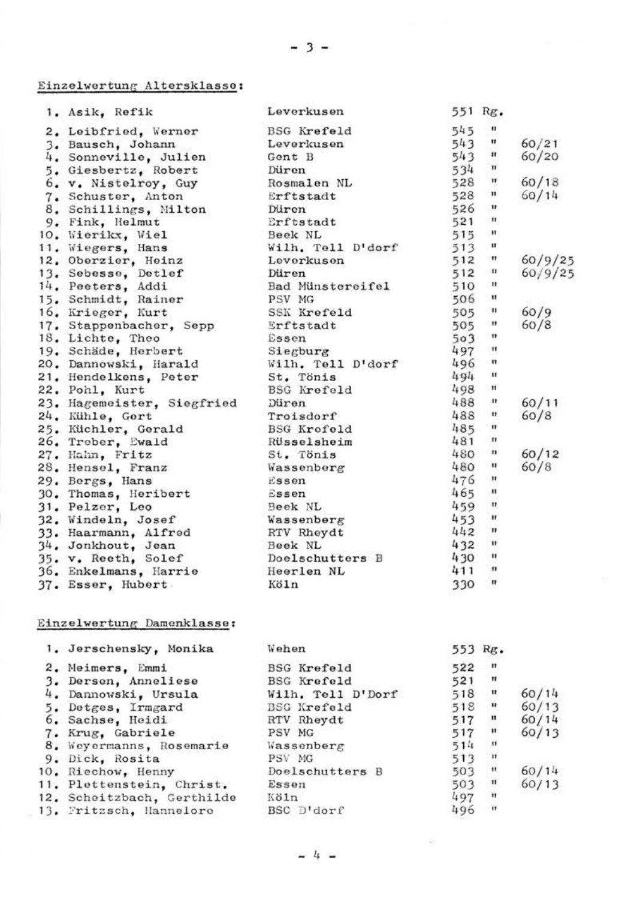# Einzelwertung Altersklasse:

| 545<br>×<br><b>BSG</b> Krefeld<br>2. Leibfried, Werner<br>543<br>Ħ<br>60/21<br>3. Bausch, Johann<br>Leverkusen<br>543<br>Ħ<br>60/20<br>4. Sonneville, Julien<br>Gont B<br>11<br>534<br>5. Giesbertz, Robert<br>Düren<br>Rosmalon NL<br>60/18<br>528<br>$\mathbf{u}$<br>6. v. Nistelroy, Guy<br>×<br>528<br>60/14<br>Erftstadt<br>7. Schuster, Anton<br>$\mathbf{u}$<br>526<br>8. Schillings, Milton<br>Düren<br>$\mathbf{u}$<br>521<br>9. Fink, Helmut<br>Erftstadt<br>n<br>515<br>10, Wierikx, Wiel<br>Beek NL<br>Wilh, Toll D'dorf<br>513<br>$\mathbf{u}$<br>11. Wiegers, Hans<br>12. Oberzier, Heinz<br>512<br>n<br>Lovorkuson<br>512<br>$\mathbf{u}$<br>13. Sebesse, Detlef<br>Düren<br>$\mathbf{H}$<br>Bad Münstereifel<br>510<br>14. Peeters, Addi<br>PSV MG<br>506<br>$\mathbf{H}$<br>15. Schmidt, Rainer<br>SSK Krefeld<br>60/9<br>16, Krieger, Kurt<br>505<br>$\mathbf{u}$<br>Ħ<br>60/8<br>17. Stappenbacher, Sepp<br>505<br>Erftstadt<br>$\mathbf{H}$<br>18. Lichte, Theo<br>503<br>Essen<br>$^{\rm H}$<br>497<br>19. Schäde, Herbert<br>Siegburg<br>496<br>$\mathbf{u}$<br>Wilh, Tell D'dorf<br>20, Dannowski, Harald<br>494<br>$\mathbf{u}$<br>21. Hendelkens, Peter<br>St. Tönis<br>498<br>$\mathbf{H}$<br>22. Pohl, Kurt<br>BSG Krefeld<br>488<br>Ħ<br>60/11<br>23. Hagemoister, Siegfried<br>Düren<br>488<br>$\mathbf{u}$<br>60/8<br>24. Kühle, Gert<br>Troisdorf<br>485<br>$\blacksquare$<br>25. Küchler, Gerald<br>BSG Krofold<br>n<br>481<br>26. Trober, Ewald<br>Rüsselsheim<br>n<br>60/12<br>480<br>27. Hahn, Fritz<br>St. Tönis<br>480<br>$\mathbf{u}$<br>60/8<br>Wassenberg<br>28. Hensel, Franz<br>Ħ<br>476<br>29. Bergs, Hans<br>$E$ ssen<br>n<br>465<br>30. Thomas, Heribert<br>Essen<br>$\mathbf{u}$<br>459<br>31. Pelzer, Leo<br>Book NL<br>Ħ<br>453<br>32, Windeln, Josef<br>Wassenberg | 1. Asik. Refik | Leverkusen | 551 Rg. |         |
|---------------------------------------------------------------------------------------------------------------------------------------------------------------------------------------------------------------------------------------------------------------------------------------------------------------------------------------------------------------------------------------------------------------------------------------------------------------------------------------------------------------------------------------------------------------------------------------------------------------------------------------------------------------------------------------------------------------------------------------------------------------------------------------------------------------------------------------------------------------------------------------------------------------------------------------------------------------------------------------------------------------------------------------------------------------------------------------------------------------------------------------------------------------------------------------------------------------------------------------------------------------------------------------------------------------------------------------------------------------------------------------------------------------------------------------------------------------------------------------------------------------------------------------------------------------------------------------------------------------------------------------------------------------------------------------------------------------------------------------------------------------------------------------------------------------------|----------------|------------|---------|---------|
|                                                                                                                                                                                                                                                                                                                                                                                                                                                                                                                                                                                                                                                                                                                                                                                                                                                                                                                                                                                                                                                                                                                                                                                                                                                                                                                                                                                                                                                                                                                                                                                                                                                                                                                                                                                                                     |                |            |         |         |
|                                                                                                                                                                                                                                                                                                                                                                                                                                                                                                                                                                                                                                                                                                                                                                                                                                                                                                                                                                                                                                                                                                                                                                                                                                                                                                                                                                                                                                                                                                                                                                                                                                                                                                                                                                                                                     |                |            |         |         |
|                                                                                                                                                                                                                                                                                                                                                                                                                                                                                                                                                                                                                                                                                                                                                                                                                                                                                                                                                                                                                                                                                                                                                                                                                                                                                                                                                                                                                                                                                                                                                                                                                                                                                                                                                                                                                     |                |            |         |         |
|                                                                                                                                                                                                                                                                                                                                                                                                                                                                                                                                                                                                                                                                                                                                                                                                                                                                                                                                                                                                                                                                                                                                                                                                                                                                                                                                                                                                                                                                                                                                                                                                                                                                                                                                                                                                                     |                |            |         |         |
|                                                                                                                                                                                                                                                                                                                                                                                                                                                                                                                                                                                                                                                                                                                                                                                                                                                                                                                                                                                                                                                                                                                                                                                                                                                                                                                                                                                                                                                                                                                                                                                                                                                                                                                                                                                                                     |                |            |         |         |
|                                                                                                                                                                                                                                                                                                                                                                                                                                                                                                                                                                                                                                                                                                                                                                                                                                                                                                                                                                                                                                                                                                                                                                                                                                                                                                                                                                                                                                                                                                                                                                                                                                                                                                                                                                                                                     |                |            |         |         |
|                                                                                                                                                                                                                                                                                                                                                                                                                                                                                                                                                                                                                                                                                                                                                                                                                                                                                                                                                                                                                                                                                                                                                                                                                                                                                                                                                                                                                                                                                                                                                                                                                                                                                                                                                                                                                     |                |            |         |         |
|                                                                                                                                                                                                                                                                                                                                                                                                                                                                                                                                                                                                                                                                                                                                                                                                                                                                                                                                                                                                                                                                                                                                                                                                                                                                                                                                                                                                                                                                                                                                                                                                                                                                                                                                                                                                                     |                |            |         |         |
|                                                                                                                                                                                                                                                                                                                                                                                                                                                                                                                                                                                                                                                                                                                                                                                                                                                                                                                                                                                                                                                                                                                                                                                                                                                                                                                                                                                                                                                                                                                                                                                                                                                                                                                                                                                                                     |                |            |         |         |
|                                                                                                                                                                                                                                                                                                                                                                                                                                                                                                                                                                                                                                                                                                                                                                                                                                                                                                                                                                                                                                                                                                                                                                                                                                                                                                                                                                                                                                                                                                                                                                                                                                                                                                                                                                                                                     |                |            |         |         |
|                                                                                                                                                                                                                                                                                                                                                                                                                                                                                                                                                                                                                                                                                                                                                                                                                                                                                                                                                                                                                                                                                                                                                                                                                                                                                                                                                                                                                                                                                                                                                                                                                                                                                                                                                                                                                     |                |            |         | 60/9/25 |
|                                                                                                                                                                                                                                                                                                                                                                                                                                                                                                                                                                                                                                                                                                                                                                                                                                                                                                                                                                                                                                                                                                                                                                                                                                                                                                                                                                                                                                                                                                                                                                                                                                                                                                                                                                                                                     |                |            |         | 60/9/25 |
|                                                                                                                                                                                                                                                                                                                                                                                                                                                                                                                                                                                                                                                                                                                                                                                                                                                                                                                                                                                                                                                                                                                                                                                                                                                                                                                                                                                                                                                                                                                                                                                                                                                                                                                                                                                                                     |                |            |         |         |
|                                                                                                                                                                                                                                                                                                                                                                                                                                                                                                                                                                                                                                                                                                                                                                                                                                                                                                                                                                                                                                                                                                                                                                                                                                                                                                                                                                                                                                                                                                                                                                                                                                                                                                                                                                                                                     |                |            |         |         |
|                                                                                                                                                                                                                                                                                                                                                                                                                                                                                                                                                                                                                                                                                                                                                                                                                                                                                                                                                                                                                                                                                                                                                                                                                                                                                                                                                                                                                                                                                                                                                                                                                                                                                                                                                                                                                     |                |            |         |         |
|                                                                                                                                                                                                                                                                                                                                                                                                                                                                                                                                                                                                                                                                                                                                                                                                                                                                                                                                                                                                                                                                                                                                                                                                                                                                                                                                                                                                                                                                                                                                                                                                                                                                                                                                                                                                                     |                |            |         |         |
|                                                                                                                                                                                                                                                                                                                                                                                                                                                                                                                                                                                                                                                                                                                                                                                                                                                                                                                                                                                                                                                                                                                                                                                                                                                                                                                                                                                                                                                                                                                                                                                                                                                                                                                                                                                                                     |                |            |         |         |
|                                                                                                                                                                                                                                                                                                                                                                                                                                                                                                                                                                                                                                                                                                                                                                                                                                                                                                                                                                                                                                                                                                                                                                                                                                                                                                                                                                                                                                                                                                                                                                                                                                                                                                                                                                                                                     |                |            |         |         |
|                                                                                                                                                                                                                                                                                                                                                                                                                                                                                                                                                                                                                                                                                                                                                                                                                                                                                                                                                                                                                                                                                                                                                                                                                                                                                                                                                                                                                                                                                                                                                                                                                                                                                                                                                                                                                     |                |            |         |         |
|                                                                                                                                                                                                                                                                                                                                                                                                                                                                                                                                                                                                                                                                                                                                                                                                                                                                                                                                                                                                                                                                                                                                                                                                                                                                                                                                                                                                                                                                                                                                                                                                                                                                                                                                                                                                                     |                |            |         |         |
|                                                                                                                                                                                                                                                                                                                                                                                                                                                                                                                                                                                                                                                                                                                                                                                                                                                                                                                                                                                                                                                                                                                                                                                                                                                                                                                                                                                                                                                                                                                                                                                                                                                                                                                                                                                                                     |                |            |         |         |
|                                                                                                                                                                                                                                                                                                                                                                                                                                                                                                                                                                                                                                                                                                                                                                                                                                                                                                                                                                                                                                                                                                                                                                                                                                                                                                                                                                                                                                                                                                                                                                                                                                                                                                                                                                                                                     |                |            |         |         |
|                                                                                                                                                                                                                                                                                                                                                                                                                                                                                                                                                                                                                                                                                                                                                                                                                                                                                                                                                                                                                                                                                                                                                                                                                                                                                                                                                                                                                                                                                                                                                                                                                                                                                                                                                                                                                     |                |            |         |         |
|                                                                                                                                                                                                                                                                                                                                                                                                                                                                                                                                                                                                                                                                                                                                                                                                                                                                                                                                                                                                                                                                                                                                                                                                                                                                                                                                                                                                                                                                                                                                                                                                                                                                                                                                                                                                                     |                |            |         |         |
|                                                                                                                                                                                                                                                                                                                                                                                                                                                                                                                                                                                                                                                                                                                                                                                                                                                                                                                                                                                                                                                                                                                                                                                                                                                                                                                                                                                                                                                                                                                                                                                                                                                                                                                                                                                                                     |                |            |         |         |
|                                                                                                                                                                                                                                                                                                                                                                                                                                                                                                                                                                                                                                                                                                                                                                                                                                                                                                                                                                                                                                                                                                                                                                                                                                                                                                                                                                                                                                                                                                                                                                                                                                                                                                                                                                                                                     |                |            |         |         |
|                                                                                                                                                                                                                                                                                                                                                                                                                                                                                                                                                                                                                                                                                                                                                                                                                                                                                                                                                                                                                                                                                                                                                                                                                                                                                                                                                                                                                                                                                                                                                                                                                                                                                                                                                                                                                     |                |            |         |         |
|                                                                                                                                                                                                                                                                                                                                                                                                                                                                                                                                                                                                                                                                                                                                                                                                                                                                                                                                                                                                                                                                                                                                                                                                                                                                                                                                                                                                                                                                                                                                                                                                                                                                                                                                                                                                                     |                |            |         |         |
|                                                                                                                                                                                                                                                                                                                                                                                                                                                                                                                                                                                                                                                                                                                                                                                                                                                                                                                                                                                                                                                                                                                                                                                                                                                                                                                                                                                                                                                                                                                                                                                                                                                                                                                                                                                                                     |                |            |         |         |
|                                                                                                                                                                                                                                                                                                                                                                                                                                                                                                                                                                                                                                                                                                                                                                                                                                                                                                                                                                                                                                                                                                                                                                                                                                                                                                                                                                                                                                                                                                                                                                                                                                                                                                                                                                                                                     |                |            |         |         |
|                                                                                                                                                                                                                                                                                                                                                                                                                                                                                                                                                                                                                                                                                                                                                                                                                                                                                                                                                                                                                                                                                                                                                                                                                                                                                                                                                                                                                                                                                                                                                                                                                                                                                                                                                                                                                     |                |            |         |         |
| 442<br>$\mathbf{u}$<br>33. Haarmann, Alfred<br>RTV Rheydt                                                                                                                                                                                                                                                                                                                                                                                                                                                                                                                                                                                                                                                                                                                                                                                                                                                                                                                                                                                                                                                                                                                                                                                                                                                                                                                                                                                                                                                                                                                                                                                                                                                                                                                                                           |                |            |         |         |
| 432<br>Ħ<br>34, Jonkhout, Jean<br>Book NL                                                                                                                                                                                                                                                                                                                                                                                                                                                                                                                                                                                                                                                                                                                                                                                                                                                                                                                                                                                                                                                                                                                                                                                                                                                                                                                                                                                                                                                                                                                                                                                                                                                                                                                                                                           |                |            |         |         |
| 430<br>$\mathbf{u}$<br>Doelschutters B<br>35. v. Reeth, Solef                                                                                                                                                                                                                                                                                                                                                                                                                                                                                                                                                                                                                                                                                                                                                                                                                                                                                                                                                                                                                                                                                                                                                                                                                                                                                                                                                                                                                                                                                                                                                                                                                                                                                                                                                       |                |            |         |         |
| 411<br>$\mathbf{u}$<br>36. Enkelmans, Harrie<br>Heerlen NL                                                                                                                                                                                                                                                                                                                                                                                                                                                                                                                                                                                                                                                                                                                                                                                                                                                                                                                                                                                                                                                                                                                                                                                                                                                                                                                                                                                                                                                                                                                                                                                                                                                                                                                                                          |                |            |         |         |
| $\mathbf{u}$<br>330<br>37. Esser, Hubert<br>Köln                                                                                                                                                                                                                                                                                                                                                                                                                                                                                                                                                                                                                                                                                                                                                                                                                                                                                                                                                                                                                                                                                                                                                                                                                                                                                                                                                                                                                                                                                                                                                                                                                                                                                                                                                                    |                |            |         |         |

#### Einzelwertung Damenklasse:

| 1. Jerschensky, Monika     | Wehen              |     | 553 Rg.        |       |
|----------------------------|--------------------|-----|----------------|-------|
| 2. Meimers, Emmi           | <b>BSG Krefeld</b> | 522 | $\mathbf{u}$   |       |
| 3. Derson, Anneliese       | <b>BSG</b> Krefeld | 521 | $\mathbf{H}$   |       |
| 4. Dannowski, Ursula       | Wilh. Tell D'Dorf  | 518 | $\mathbf{u}$   | 60/14 |
| 5. Detges, Irmgard         | BSG Krefeld        | 518 | $\blacksquare$ | 60/13 |
| 6. Sachse, Hoidi           | RTV Rhevdt         | 517 | u              | 60/14 |
| 7. Krug. Gabriele          | PSV MG             | 517 | ×              | 60/13 |
| 8. Wevermanns, Rosemarie   | Wassenberg         | 514 | $\mathbf{H}$   |       |
| 9. Dick, Rosita            | PSV MG             | 513 | $\mathbf{u}$   |       |
| 10, Riechow, Henny         | Doelschutters B    | 503 | $\blacksquare$ | 60/14 |
| 11. Plettenstein, Christ.  | Essen              | 503 | $\blacksquare$ | 60/13 |
| 12. Scheitzbach, Gerthilde | Köln               | 497 | $\mathbf{u}$   |       |
| 13. Fritzsch, Hanneloro    | BSC D'dorf         | 496 | $\mathbf{u}$   |       |

 $h -$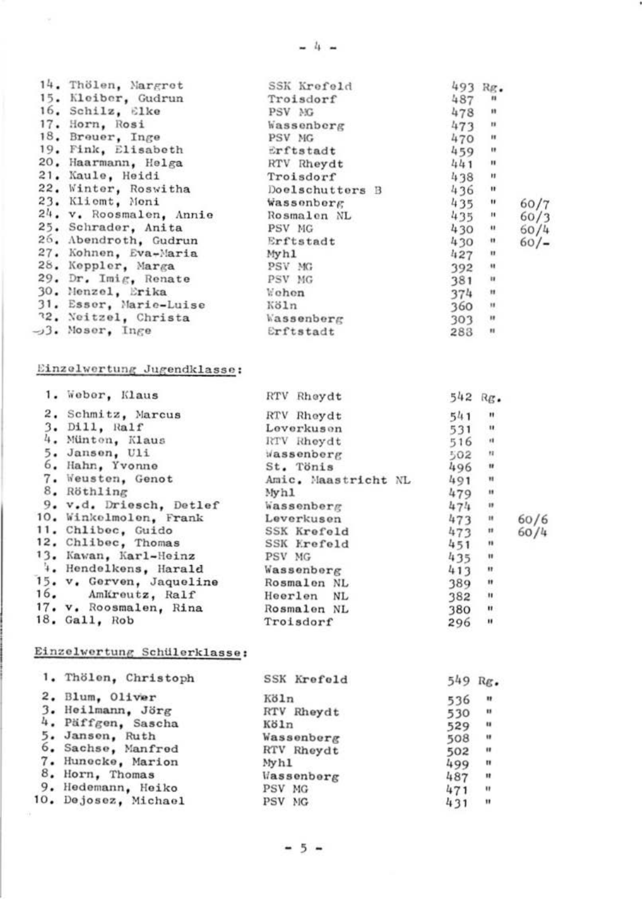| 14. Thölen, Margret             | SSK Krefeld       | 493 Rg. |                |      |
|---------------------------------|-------------------|---------|----------------|------|
| 15. Kleiber, Gudrun             | Troisdorf         | 487     | $\mathbf{u}$   |      |
| 16. Schilz, Elke                | PSV MG            | 478     | $\mathbf{u}$   |      |
| 17. Horn, Rosi                  | Wassenberg        | 473     | $\mathbf{u}$   |      |
| 18. Brouer, Inge                | PSV NG            | 470     | $\mathbf{r}$   |      |
| 19. Fink, Elisabeth             | Erftstadt         | 459     | $\mathbf{r}$   |      |
| 20. Haarmann, Helga             | RTV Rheydt        | 441     | ×              |      |
| 21. Kaule, Heidi                | Troisdorf         | 438     | Ħ              |      |
| 22. Winter, Roswitha            | Doelschutters B   | 436     | $\mathbf{u}$   |      |
| 23. Klicmt, Moni                | <b>Wassenberg</b> | 435     | $\bullet$      | 60/7 |
| 24. v. Roosmalen, Annie         | Rosmalen NL       | 435     | $\mathbf{u}$   | 60/3 |
| 25. Schrader, Anita             | PSV MG            | 430     | $\blacksquare$ | 60/4 |
| 26, Abendroth, Gudrun           | Erftstadt         | 430     | $\blacksquare$ | 60/  |
| 27. Kohnen, Eva-Maria           | Myh1              | 427     | $\mathbf{u}$   |      |
| 28. Keppler, Marga              | PSV MG            | 392     | $\rightarrow$  |      |
| 29. Dr. Imig. Renate            | PSV MG            | 381     | ×              |      |
| 30. Menzel, Erika               | Wehen             | 374     | $\mathbf{H}$   |      |
| 31. Esser, Marie-Luise          | Köln              | 360     | $\mathbf{H}$   |      |
| 72. Neitzel, Christa Massenberg |                   | $303$ " |                |      |
| $-13.$ Moser. Inge              | Erftstadt         | 283     | 199            |      |

## Einzelwertung Jugendklasse:

| 1. Weber, Klaus                    | RTV Rhoydt          | 542 Rg. |                |      |
|------------------------------------|---------------------|---------|----------------|------|
| 2. Schmitz, Marcus                 | RTV Rheydt          | 541     | $\mathbf{u}$   |      |
| 3. Dill, Ralf                      | Leverkuson          | 531     | $\mathbf{u}$   |      |
| 4. Münton, Klaus                   | RTV Rheydt          | 516     | $\mathbf{a}$   |      |
| 5. Jansen, Uli                     | Wassenberg          | 502     | $_{\rm H}$     |      |
| 6. Hahn, Yvonne                    | St. Tönis           | 496     | ×              |      |
| 7. Weusten, Genot                  | Amic. Maastricht NL | 491     | Ħ              |      |
| 8. Röthling                        | Myhl                | 479     | Ħ              |      |
| 9. v.d. Driesch, Detlef            | Wassenberg          | 474     | $\blacksquare$ |      |
| 10. Winkelmolen, Frank             | Leverkusen          | 473     | Ħ              | 60/6 |
| 11. Chlibec, Guido                 | SSK Krefeld         | 473     | $\mathbf{H}$   | 60/4 |
| 12. Chlibec, Thomas                | SSK Krefeld         | 451     | $\blacksquare$ |      |
| 13. Kawan, Karl-Heinz              | PSV MG              | 435     | $\mathbf{H}$   |      |
| 4. Hendelkens, Harald              | Wassenberg          | 413     | $\blacksquare$ |      |
| 15. v. Gerven, Jaqueline           | Rosmalon NL         | 389     | $\mathbf{u}$   |      |
| 16. Amkreutz, Ralf                 | Heerlen NL          | 382     | $\mathbf{u}$   |      |
| 17. v. Roosmalen, Rina Rosmalen NL |                     | 380     | Ħ              |      |
| 18. Gall, Rob                      | Troisdorf           | 296     | ×              |      |
|                                    |                     |         |                |      |

#### Einzelwertung Schülerklasse:

| 1. Thölen, Christoph | SSK Krefeld      | 549 | Rg.            |
|----------------------|------------------|-----|----------------|
| 2. Blum, Oliver      | Köln             | 536 | $\mathbf{H}$   |
| 3. Heilmann, Jörg    | RTV Rheydt       | 530 | $\blacksquare$ |
| 4. Päffgen, Sascha   | Köln             | 529 | ٠              |
| 5. Janson, Ruth      | Wassenberg       | 508 | $\bullet$      |
| 6. Sachse, Manfred   | RTV Rheydt       | 502 | $\blacksquare$ |
| 7. Hunocke, Marion   | Myh <sub>1</sub> | 499 | $\mathbf{u}$   |
| 8. Horn, Thomas      | Vassenberg       | 487 |                |
| 9. Hedemann, Heiko   | PSV MG           | 471 | $\mathbf{u}$   |
| 10. Dejosez, Michael | PSV MG           | 431 | $\mathbf{H}$   |
|                      |                  |     |                |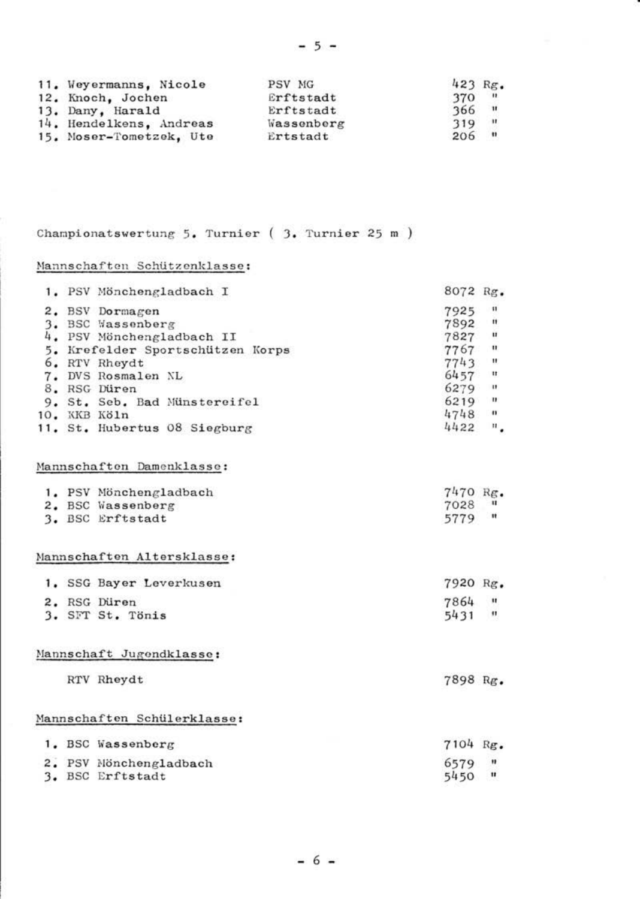| 11. Weyermanns, Nicole  | PSV MG     | 423 Rg.             |                |
|-------------------------|------------|---------------------|----------------|
| 12. Knoch, Jochen       | Erftstadt  | 370                 | $\blacksquare$ |
| 13. Dany, Harald        | Erftstadt  | 366                 | $\mathbf{u}$   |
| 14. Hendelkens. Andreas | Wassenberg | 319                 | $\mathbf{r}$   |
| 15. Moser-Tometzek, Ute | Ertstadt   | $\mathbf{u}$<br>206 |                |

 $-5 -$ 

# Championatswertung 5. Turnier ( 3. Turnier 25 m )

#### Mannschaften Schützenklasse:

| 1. PSV Mönchengladbach I         | 8072 Rg.   |                |
|----------------------------------|------------|----------------|
| 2. BSV Dormagen                  | 7925       | $\blacksquare$ |
| 3. BSC Wassenberg                | 7892 "     |                |
| 4. PSV Mönchengladbach II        | $7827$ "   |                |
| 5. Krefelder Sportschützen Korps | 7767 "     |                |
| 6. RTV Rhoydt                    | $7743$ "   |                |
| 7. DVS Rosmalen NL               | $6457$ "   |                |
| 8. RSG Düren                     | $6279$ "   |                |
| 9. St. Seb. Bad Münstereifel     | $6219$ $"$ |                |
| 10. KKB Köln                     | 4748 "     |                |
| 11. St. Hubertus 08 Siegburg     | 4422 ".    |                |
| Mannschaften Damenklasse:        |            |                |
| 1. PSV Mönchengladbach           | 7470 Rg.   |                |
| 2. BSC Wassenberg                | 7028       | $\mathbf{u}$   |
| 3. BSC Erftstadt                 | 5779 "     |                |
| Mannschaften Altersklasse:       |            |                |
| 1. SSG Bayer Leverkusen          | 7920 Rg.   |                |
| 2. RSG Düren                     | 7864 "     |                |
| 3. SFT St. Tönis                 | 5431 "     |                |
| Mannschaft Jugondklasse:         |            |                |
| RTV Rhevdt                       | 7898 Rg.   |                |
| Mannschaften Schülerklasse:      |            |                |
|                                  |            |                |
| 1. BSC Wassenberg                | 7104 Re.   |                |
| 2. PSV Nönchengladbach           | 6579       |                |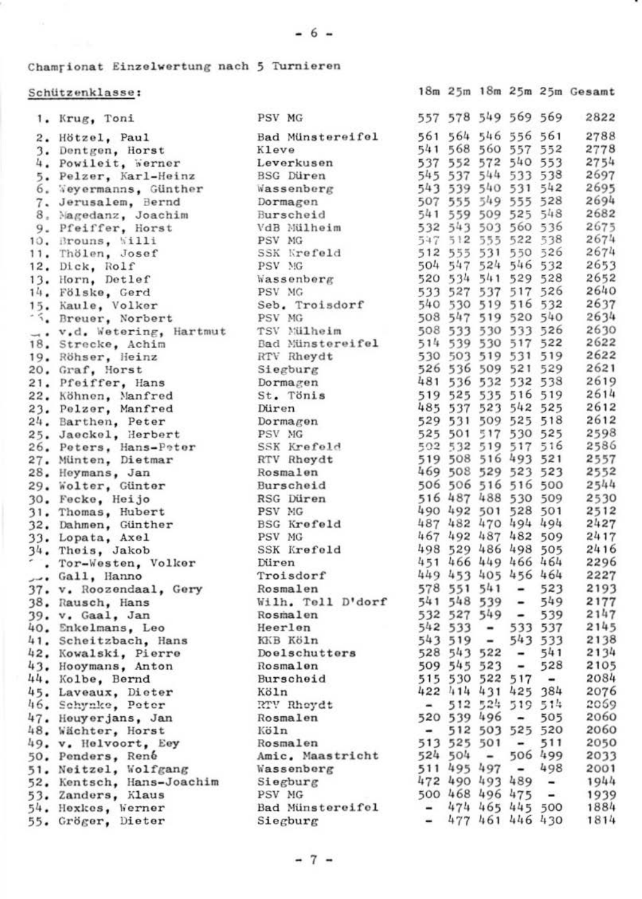18m 25m 18m 25m 25m Gesamt

# Championat Einzelwertung nach 5 Turnieren

## Schützenklasse:

| 1. Krug, Toni                                                                                                                                                                                                                                    | PSV MG                                                                                                                                                                                                                                     |                          |             |             |                          |                     | 557 578 549 569 569 2822               |
|--------------------------------------------------------------------------------------------------------------------------------------------------------------------------------------------------------------------------------------------------|--------------------------------------------------------------------------------------------------------------------------------------------------------------------------------------------------------------------------------------------|--------------------------|-------------|-------------|--------------------------|---------------------|----------------------------------------|
| 2. Hötzel, Paul                                                                                                                                                                                                                                  | Bad Münstereifel                                                                                                                                                                                                                           | 561 564 546 556 561      |             |             |                          |                     | 2788                                   |
| 3. Dentgen, Horst                                                                                                                                                                                                                                | Kleve                                                                                                                                                                                                                                      | 541 568 560 557 552      |             |             |                          |                     | 2778                                   |
| 4. Powileit, Werner                                                                                                                                                                                                                              | Leverkusen                                                                                                                                                                                                                                 | 537 552 572 540 553      |             |             |                          |                     | 2754                                   |
| 5. Pelzer, Karl-Heinz                                                                                                                                                                                                                            | Lywyner 2012<br>Hassenberg 50 1973 540 531 542<br>Wassenberg 50 50 50 549 555 528<br>Nurrachedd 541 559 509 528 548<br>Nurrachedd 541 532 543 500 536<br>Amy un: 547 512 555 522 538<br>Amy un: 547 531 550 526<br>Amy un: 547 531 550 526 |                          |             |             |                          |                     | 2697                                   |
| 6. Veyermanns, Günther                                                                                                                                                                                                                           |                                                                                                                                                                                                                                            |                          |             |             |                          |                     | 2695                                   |
| 7. Jerusalem, Bernd                                                                                                                                                                                                                              |                                                                                                                                                                                                                                            |                          |             |             |                          |                     | 2694                                   |
| 8. Magedanz, Joachim                                                                                                                                                                                                                             |                                                                                                                                                                                                                                            |                          |             |             |                          |                     | 2682                                   |
| 9. Pfeiffer, Horst                                                                                                                                                                                                                               |                                                                                                                                                                                                                                            |                          |             |             |                          |                     | 2675                                   |
| 10, Brouns, Willi                                                                                                                                                                                                                                |                                                                                                                                                                                                                                            |                          |             |             |                          |                     | 2674                                   |
| 11, Thölen, Josef                                                                                                                                                                                                                                | SSK Krefeld 512 555 531 550 526                                                                                                                                                                                                            |                          |             |             |                          |                     | 2674                                   |
| 12. Dick, Rolf                                                                                                                                                                                                                                   | PSV MG                                                                                                                                                                                                                                     | 504 547 524 546 532      |             |             |                          |                     | 2653                                   |
| 13. Horn, Detlef                                                                                                                                                                                                                                 | Wassenberg                                                                                                                                                                                                                                 |                          |             |             |                          | 520 534 541 529 528 | 2652                                   |
| 14. Fölske, Gerd                                                                                                                                                                                                                                 | PSV MG                                                                                                                                                                                                                                     |                          |             |             |                          | 533 527 537 517 526 | 2640                                   |
| 15. Kaule, Volker                                                                                                                                                                                                                                | Seb. Troisdorf                                                                                                                                                                                                                             |                          |             |             |                          | 540 530 519 516 532 | 2637                                   |
|                                                                                                                                                                                                                                                  |                                                                                                                                                                                                                                            |                          |             |             |                          |                     |                                        |
|                                                                                                                                                                                                                                                  |                                                                                                                                                                                                                                            |                          |             |             |                          |                     |                                        |
|                                                                                                                                                                                                                                                  |                                                                                                                                                                                                                                            |                          |             |             |                          |                     |                                        |
|                                                                                                                                                                                                                                                  |                                                                                                                                                                                                                                            |                          |             |             |                          |                     |                                        |
|                                                                                                                                                                                                                                                  |                                                                                                                                                                                                                                            |                          |             |             |                          |                     |                                        |
|                                                                                                                                                                                                                                                  |                                                                                                                                                                                                                                            |                          |             |             |                          |                     |                                        |
|                                                                                                                                                                                                                                                  |                                                                                                                                                                                                                                            |                          |             |             |                          |                     |                                        |
| 15, Katter, vacator (* 1887)<br>18. April – America Carlotte, amerikansk politik (* 1887)<br>19. November: Jacob H. Martin (* 1893)<br>19. Röhner, Holinz (* 1888)<br>19. Röhner, Holinz (* 1888)<br>20. Graf, Horst Stegburg<br>21. Pierffer, H |                                                                                                                                                                                                                                            |                          |             |             |                          |                     |                                        |
| 24. Barthen, Peter                                                                                                                                                                                                                               | Dormagen<br>PSV MG                                                                                                                                                                                                                         | 529 531 509 525 518      |             |             |                          |                     | 2612                                   |
|                                                                                                                                                                                                                                                  |                                                                                                                                                                                                                                            |                          |             |             |                          |                     |                                        |
|                                                                                                                                                                                                                                                  |                                                                                                                                                                                                                                            |                          |             |             |                          |                     |                                        |
|                                                                                                                                                                                                                                                  |                                                                                                                                                                                                                                            |                          |             |             |                          |                     |                                        |
|                                                                                                                                                                                                                                                  |                                                                                                                                                                                                                                            |                          |             |             |                          |                     |                                        |
| 421 Date (March 1990)<br>23. Jackbox - John March 1992, 1992 (1992)<br>24. Jackbox - Patent III, 1992 (1993)<br>24. Jackbox - Archives - Amery Rowsell, 1993 (1993)<br>24. John March 1993 - Rowsell 1992 (1993)<br>24. John March 1993 (1993    |                                                                                                                                                                                                                                            |                          |             |             |                          |                     |                                        |
|                                                                                                                                                                                                                                                  |                                                                                                                                                                                                                                            |                          |             |             |                          |                     |                                        |
|                                                                                                                                                                                                                                                  |                                                                                                                                                                                                                                            |                          |             |             |                          |                     |                                        |
|                                                                                                                                                                                                                                                  |                                                                                                                                                                                                                                            |                          |             |             |                          |                     |                                        |
| 33. Lopata, Axel                                                                                                                                                                                                                                 | PSV MG                                                                                                                                                                                                                                     | 467 492 487 482 509      |             |             |                          |                     | 2417                                   |
| 34. Theis, Jakob                                                                                                                                                                                                                                 | SSK Krefeld                                                                                                                                                                                                                                | 498 529 486 498 505      |             |             |                          |                     | 2416                                   |
| . Tor-Westen, Volker                                                                                                                                                                                                                             | Düren                                                                                                                                                                                                                                      | 451 466 449 466 464      |             |             |                          |                     | 2296                                   |
| Gall, Hanno                                                                                                                                                                                                                                      | Troisdorf                                                                                                                                                                                                                                  |                          |             |             |                          |                     | 449 453 405 456 464 2227               |
| 37. v. Roozendaal, Gery                                                                                                                                                                                                                          | Rosmalen                                                                                                                                                                                                                                   | $578$ 551 541 - 523      |             |             |                          |                     | 2193                                   |
| 38. Rausch, Hans                                                                                                                                                                                                                                 | Wilh. Tell D'dorf 541 548 539 - 549                                                                                                                                                                                                        |                          |             |             |                          |                     | 2177                                   |
| 39. v. Gaal, Jan                                                                                                                                                                                                                                 | Rosmalen                                                                                                                                                                                                                                   |                          |             |             | 532 527 549 - 539        |                     | 2147                                   |
| 40. Enkelmans, Leo                                                                                                                                                                                                                               | Heerlen                                                                                                                                                                                                                                    | 542 533                  |             |             |                          | $-5335537$          | 2145                                   |
| 41. Scheitzbach, Hans                                                                                                                                                                                                                            | KKB Köln                                                                                                                                                                                                                                   |                          |             | $543$ 519 - |                          | 543 533             |                                        |
| 42. Kowalski, Pierre                                                                                                                                                                                                                             | Doelschutters                                                                                                                                                                                                                              | $528$ $543$ $522 - 541$  |             |             |                          |                     | 2138<br>2134                           |
| 43. Hooymans, Anton                                                                                                                                                                                                                              | Rosmalon                                                                                                                                                                                                                                   | 509 545 523              |             |             | $\sim$                   |                     |                                        |
| 44. Kolbe, Bernd                                                                                                                                                                                                                                 | Burschoid                                                                                                                                                                                                                                  | 515 530 522 517          |             |             |                          |                     | $528$ $2105$<br>- $2084$<br>384 $2076$ |
| 45. Laveaux, Dicter                                                                                                                                                                                                                              | Köln                                                                                                                                                                                                                                       | 422 414 431 425 384      |             |             |                          |                     |                                        |
| 46. Schynke, Poter                                                                                                                                                                                                                               | RTV Rhoydt<br>Rosmalen                                                                                                                                                                                                                     | $-$                      |             |             |                          | 512 524 519 514     | 2059                                   |
| 47. Houyerjans, Jan                                                                                                                                                                                                                              | Rosmalen                                                                                                                                                                                                                                   | 520 539 496              |             |             | $-505$                   |                     | 2060                                   |
| 48. Wächter, Horst                                                                                                                                                                                                                               | Köln                                                                                                                                                                                                                                       | $\overline{\phantom{a}}$ |             |             | 512 503 525 520          |                     | 2060                                   |
|                                                                                                                                                                                                                                                  |                                                                                                                                                                                                                                            | 513 525 501              |             |             | $\overline{\phantom{a}}$ | 511                 | 2050                                   |
| 49. v. Helvoort, Eey (Rosmalen)<br>50. Penders, René (Amic, Mas<br>50. Penders, René                                                                                                                                                             | Amic. Maastricht                                                                                                                                                                                                                           | 524 504                  |             | $-$         |                          | 506 499             | 2033                                   |
| 51. Neitzel, Wolfgang                                                                                                                                                                                                                            |                                                                                                                                                                                                                                            |                          | 511 495 497 |             | $-498$                   |                     |                                        |
| 52. Kentsch, Hans-Joachim Siegburg                                                                                                                                                                                                               | Wassenberg<br>Siegburg                                                                                                                                                                                                                     | $472$ 490 493 489 -      |             |             |                          |                     | 2001<br>1944                           |
| 53. Zanders, Klaus                                                                                                                                                                                                                               | PSV MG                                                                                                                                                                                                                                     | 500 468 496 475          |             |             |                          | $\frac{1}{2}$       | 1939                                   |
| 54. Hexkes, Werner                                                                                                                                                                                                                               | Bad Münstereifel                                                                                                                                                                                                                           | $\overline{\phantom{a}}$ |             |             |                          |                     | 474 465 445 500 1884                   |
| 55. Gröger, Dieter                                                                                                                                                                                                                               | Siegburg                                                                                                                                                                                                                                   |                          |             |             |                          | $-477461446430$     | 1814                                   |
|                                                                                                                                                                                                                                                  |                                                                                                                                                                                                                                            |                          |             |             |                          |                     |                                        |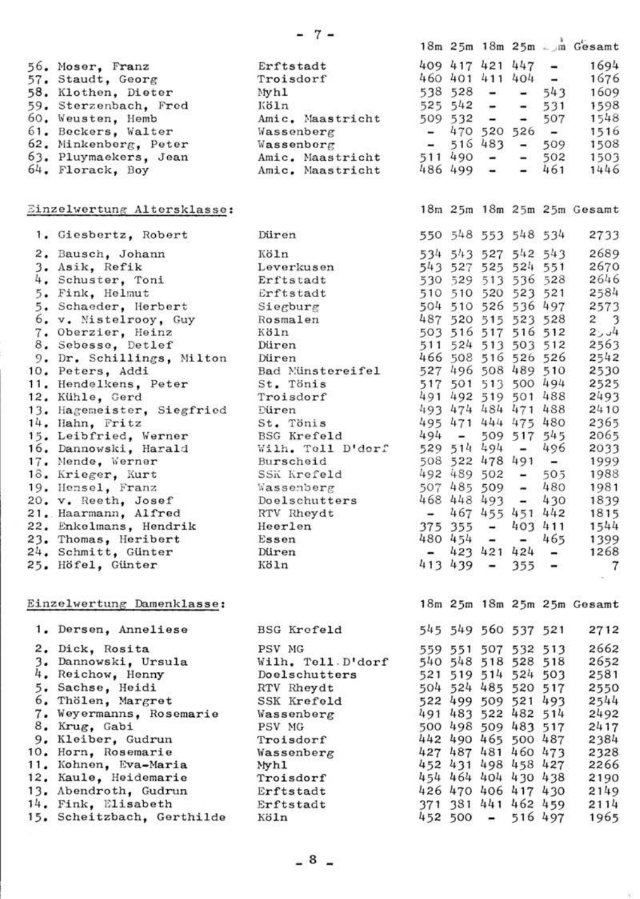|                             |                                                                                                                  |                     |               |                     |             |                   | 18m 25m 18m 25m . m Gesamt         |
|-----------------------------|------------------------------------------------------------------------------------------------------------------|---------------------|---------------|---------------------|-------------|-------------------|------------------------------------|
| 56. Moser, Franz            | Erftstadt                                                                                                        |                     |               | 409 417 421 447     |             | $\sim$ 100 $\sim$ | 1694                               |
| 57. Staudt, Georg           | Troisdorf                                                                                                        |                     |               | 460 401 411 404     |             | $\sim$            | 1676                               |
| 58. Klothen, Dieter         | Myhl                                                                                                             |                     |               | $538$ $528$ $ -$    |             | 543               | 1609                               |
| 59. Sterzenbach, Fred       | Köln                                                                                                             |                     |               | $525$ $542 -$       |             | $-531$            | 1598                               |
| 60, Weusten, Hemb           | Amic. Maastricht                                                                                                 | $509 532 - -$       |               |                     |             | 507               | 1548                               |
| 61. Beckers, Walter         | Wassenberg                                                                                                       |                     |               | $-470$ 520 526 $-$  |             |                   | 1516                               |
| 62. Minkenberg, Peter       | $W$ assenborg                                                                                                    |                     |               | $-516483 - 509$     |             |                   | 1508                               |
| 63. Pluymackers, Jean       | Amic. Maastricht                                                                                                 | $511490 -$          |               |                     | $\sim$      | 502               | 1503                               |
| 64. Florack, Boy            | Amic, Maastricht                                                                                                 |                     | $486$ $499 -$ |                     |             | $-461$            | 1446                               |
| Einzelwertung Altersklasse: |                                                                                                                  |                     |               |                     |             |                   | 18m 25m 18m 25m 25m Gesamt         |
| 1. Giesbertz, Robert        | Düren                                                                                                            | 550 548 553 548 534 |               |                     |             |                   | 2733                               |
| 2. Bausch, Johann           | Köln                                                                                                             | 534 543 527 542 543 |               |                     |             |                   | 2689                               |
| 3. Asik, Refik              | Leverkusen                                                                                                       | 543 527 525 524 551 |               |                     |             |                   | 2670                               |
| 4. Schuster, Toni           | Erftstadt                                                                                                        | 530 529 513 536 528 |               |                     |             |                   | 2646                               |
| 5. Fink, Helmut             | Erftstadt                                                                                                        | 510 510 520 523 521 |               |                     |             |                   | 2584                               |
| 5. Schaeder, Herbert        | Siegburg                                                                                                         | 504 510 526 536 497 |               |                     |             |                   | 2573                               |
| 6. v. Mistelrooy, Guy       | Rosmalen                                                                                                         | 487 520 515 523 528 |               |                     |             |                   | 2 <sup>3</sup>                     |
| 7. Oberzier, Heinz          | Köln                                                                                                             | 503 516 517 516 512 |               |                     |             |                   | $2 - 4$                            |
| 8. Sebesse, Detlef          | Düren                                                                                                            |                     |               | 511 524 513 503 512 |             |                   | 2563                               |
| 9. Dr. Schillings, Milton   | Düren                                                                                                            |                     |               | 466 508 516 526 526 |             |                   | 2542                               |
| 10. Peters, Addi            | Bad Münstereifel                                                                                                 | 527 496 508 489 510 |               |                     |             |                   | 2530                               |
| 11. Hendelkens, Peter       | St. Tönis                                                                                                        |                     |               | 517 501 513 500 494 |             |                   | 2525                               |
| 12. Kühle, Gerd             | Troisdorf                                                                                                        |                     |               | 491 492 519 501 488 |             |                   | 2493                               |
| 13. Hagemeister, Siegfried  | Düren                                                                                                            |                     |               | 493 474 484 471 488 |             |                   | 2410                               |
| 14. Hahn, Fritz             | St. Tönis                                                                                                        |                     |               | 495 471 444 475 480 |             |                   | 2365                               |
| 15. Leibfried, Werner       | <b>BSG Krefeld</b>                                                                                               |                     | $494 -$       |                     | 509 517 545 |                   | 2065                               |
| 16. Dannowski, Harald       | Wilh. Tell D'derf                                                                                                |                     |               | 529 514 494         |             | $-496$            | 2033                               |
| 17. Mende, Werner           | Burscheid                                                                                                        |                     |               | 508 522 478 491 -   |             |                   | 1999                               |
| 18. Krieger, Kurt           | SSK Krofeld                                                                                                      | 492 489 502 - 505   |               |                     |             |                   | 1988                               |
| 19. Hensel, Franz           | Wassenberg                                                                                                       | $507485509 - 480$   |               |                     |             |                   | 1981                               |
| 20. v. Reeth, Josef         | Doelschutters                                                                                                    | 468 448 493         |               |                     |             | $-430$            | 1839                               |
| 21. Haarmann, Alfred        | <b>NOURSelling</b><br><b>RTV Rhoydt<br/> <b>Heerlen</b><br/> <b>Essen</b><br/> <b>Düren</b><br/> <b>WITH</b></b> |                     |               |                     |             |                   | $-467455451442$ 1815               |
| 22. Enkelmans, Hendrik      |                                                                                                                  | $375$ 355 -         |               |                     |             |                   | $403$ $411$ $1544$<br>- $465$ 1399 |
| 23. Thomas, Heribert        |                                                                                                                  | $480454 -$          |               |                     |             |                   |                                    |
| 24. Schmitt, Günter         |                                                                                                                  |                     |               | $-423421424 -$      |             |                   | 1268                               |
| 25. Höfel, Günter           | Köln                                                                                                             |                     |               | $413439 -$          |             | $355 -$           | $\overline{7}$                     |
| Einzelwertung Damenklasse:  |                                                                                                                  |                     |               |                     |             |                   | 18m 25m 18m 25m 25m Gesamt         |
| 1. Dersen, Anneliese        | <b>BSG Krofeld</b>                                                                                               |                     |               | 545 549 560 537 521 |             |                   | 2712                               |
| 2. Dick, Rosita             | PSV MG                                                                                                           |                     |               | 559 551 507 532 513 |             |                   | 2662                               |
| 3. Dannowski, Ursula        | Wilh, Tell.D'dorf                                                                                                |                     |               | 540 548 518 528 518 |             |                   | 2652                               |
| 4. Reichow, Henny           | Doelschutters                                                                                                    |                     |               | 521 519 514 524 503 |             |                   | 2581                               |
| 5. Sachse, Heidi            | RTV Rheydt                                                                                                       | 504 524 485 520 517 |               |                     |             |                   | 2550                               |
| 6. Thölen, Margret          |                                                                                                                  | 522 499 509 521 493 |               |                     |             |                   | 2544                               |
| 7. Weyermanns, Rosemarie    | SSK Krefold<br>Wassenberg                                                                                        | 491 483 522 482 514 |               |                     |             |                   | 2492                               |
| 8. Krug, Gabi               | PSV MG                                                                                                           | 500 498 509 483 517 |               |                     |             |                   | 2417                               |
| 9. Kleiber, Gudrun          | Troisdorf                                                                                                        | 442 490 465 500 487 |               |                     |             |                   | 2384                               |
| 10. Horn, Rosemarie         | Wassenberg                                                                                                       | 427 487 481 460 473 |               |                     |             |                   | 2328                               |
| 11. Kohnen, Eva-Maria       | Myhl                                                                                                             | 452 431 498 458 427 |               |                     |             |                   | 2266                               |
| 12. Kaule, Heidemarie       | Troisdorf                                                                                                        |                     |               |                     |             |                   | 454 464 404 430 438 2190           |
| 13. Abendroth, Gudrun       | Erftstadt                                                                                                        |                     |               |                     |             |                   | 426 470 406 417 430 2149           |
| 14. Fink, Elisabeth         | Erftstadt                                                                                                        | 371 381 441 462 459 |               |                     |             |                   | 2114                               |
| 15. Scheitzbach, Gerthilde  | Köln                                                                                                             |                     |               | $452$ 500 - 516 497 |             |                   | 1965                               |
|                             |                                                                                                                  |                     |               |                     |             |                   |                                    |